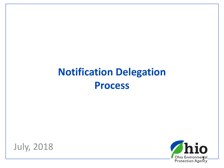#### **Notification Delegation Process**



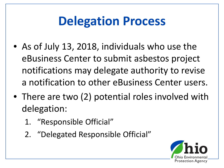### **Delegation Process**

- As of July 13, 2018, individuals who use the eBusiness Center to submit asbestos project notifications may delegate authority to revise a notification to other eBusiness Center users.
- There are two (2) potential roles involved with delegation:
	- 1. "Responsible Official"
	- 2. "Delegated Responsible Official"

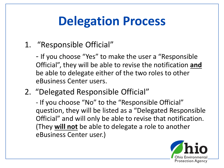### **Delegation Process**

- 1. "Responsible Official"
	- If you choose "Yes" to make the user a "Responsible Official", they will be able to revise the notification **and** be able to delegate either of the two roles to other eBusiness Center users.
- 2. "Delegated Responsible Official"

- If you choose "No" to the "Responsible Official" question, they will be listed as a "Delegated Responsible Official" and will only be able to revise that notification. (They **will not** be able to delegate a role to another eBusiness Center user.)

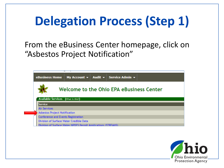# **Delegation Process (Step 1)**

#### From the eBusiness Center homepage, click on "Asbestos Project Notification"

|                                              | My Account $\mathbf{v}$ Audit $\mathbf{v}$ Service Admin $\mathbf{v}$<br>eBusiness Home |  |  |  |  |  |  |
|----------------------------------------------|-----------------------------------------------------------------------------------------|--|--|--|--|--|--|
|                                              | Welcome to the Ohio EPA eBusiness Center                                                |  |  |  |  |  |  |
| <b>Available Services</b><br>(What is this?) |                                                                                         |  |  |  |  |  |  |
|                                              | <b>Service</b>                                                                          |  |  |  |  |  |  |
|                                              | <b>Air Services</b>                                                                     |  |  |  |  |  |  |
| Asbestos Project Notification                |                                                                                         |  |  |  |  |  |  |
| Conference and Events Registration           |                                                                                         |  |  |  |  |  |  |
|                                              | Division of Surface Water Credible Data                                                 |  |  |  |  |  |  |
|                                              | Division of Surface Water NPDES Permit Applications (STREAMS)                           |  |  |  |  |  |  |

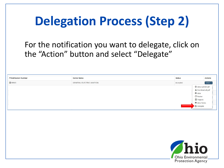# **Delegation Process (Step 2)**

#### For the notification you want to delegate, click on the "Action" button and select "Delegate"

| <b>ANotification Number</b> | <b>Owner Name</b>                | <b>Status</b>                           | <b>Actions</b>            |
|-----------------------------|----------------------------------|-----------------------------------------|---------------------------|
| ■96920                      | <b>GENERAL ELECTRIC AVIATION</b> | Accepted                                | Actions $\sim$            |
|                             |                                  |                                         | <b>O</b> View current pdf |
|                             |                                  | <b>←</b> View                           | L Download all pdf        |
|                             |                                  | <b>C</b> Revise                         |                           |
|                             |                                  | <b>Projects</b>                         |                           |
|                             |                                  | View Notes                              |                           |
|                             |                                  | <b>Z</b> Delegate                       |                           |
|                             |                                  |                                         |                           |
|                             |                                  |                                         |                           |
|                             |                                  |                                         |                           |
|                             |                                  |                                         |                           |
|                             |                                  | hio                                     |                           |
|                             |                                  | Ohio Environmental<br>Protection Agency |                           |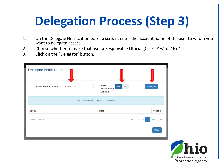# **Delegation Process (Step 3)**

- 1. On the Delegate Notification pop-up screen, enter the account name of the user to whom you want to delegate access.
- 2. Choose whether to make that user a Responsible Official (Click "Yes" or "No").
- 3. Click on the "Delegate" button.

| <b>Delegate Notification</b> |          |                                         |                  |                                |
|------------------------------|----------|-----------------------------------------|------------------|--------------------------------|
| <b>Enter Account Name:</b>   | mneedham | <b>Make</b><br>Responsible<br>Official: | <b>No</b><br>Yes | Delegate                       |
|                              |          | There are no other account assignments. |                  |                                |
| <b>UserID</b>                |          | Role                                    |                  | <b>Actions</b>                 |
| Filter all columns           |          |                                         | First            | Previous<br>Next<br>Last<br>-1 |
|                              |          |                                         |                  | Done                           |
|                              |          |                                         |                  |                                |
|                              |          |                                         |                  |                                |
|                              |          |                                         |                  |                                |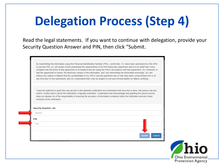# **Delegation Process (Step 4)**

Read the legal statements. If you want to continue with delegation, provide your Security Question Answer and PIN, then click "Submit.

| By transmitting this information using this Personal Identification Number (PIN), I certify that: (1) I have been authorized by Ohio EPA                                                                                                                                                                                                                                                                                                                                                                                                               |                    |
|--------------------------------------------------------------------------------------------------------------------------------------------------------------------------------------------------------------------------------------------------------------------------------------------------------------------------------------------------------------------------------------------------------------------------------------------------------------------------------------------------------------------------------------------------------|--------------------|
| to use this PIN; (2) I am aware of and understand the requirements of my PIN Subscriber Agreement and it is my belief that I have<br>complied with the terms of that agreement in all respects and am using this PIN in accordance with that Agreement; (3) I reviewed, or<br>had the opportunity to review, the electronic version of the information, and I am transmitting the information knowingly; (4) I am<br>without any reason to believe that the confidentiality of my PIN or security questions has or may have been compromised now or at |                    |
| any time prior to this submission; and (5) I understand that I may be subject to civil and criminal liability for falsely certifying.                                                                                                                                                                                                                                                                                                                                                                                                                  |                    |
| I have the authority to grant this user access to this asbestos notification and understand that once this is done, that person can see,<br>submit, modify and/or cancel the notification I originally submitted. I understand and acknowledge that granting this person access<br>does not release me of the responsibility of ensuring the accuracy of information contained within the notification and any future<br>revisions of the notification.                                                                                                |                    |
| <b>Security Question: red</b>                                                                                                                                                                                                                                                                                                                                                                                                                                                                                                                          |                    |
| Answer                                                                                                                                                                                                                                                                                                                                                                                                                                                                                                                                                 |                    |
| PIN:                                                                                                                                                                                                                                                                                                                                                                                                                                                                                                                                                   |                    |
| <b>PIN</b>                                                                                                                                                                                                                                                                                                                                                                                                                                                                                                                                             |                    |
| Submit<br><b>Cancel</b>                                                                                                                                                                                                                                                                                                                                                                                                                                                                                                                                |                    |
|                                                                                                                                                                                                                                                                                                                                                                                                                                                                                                                                                        | <b>Thio</b>        |
|                                                                                                                                                                                                                                                                                                                                                                                                                                                                                                                                                        | Ohio Environmental |

**Protection Agency**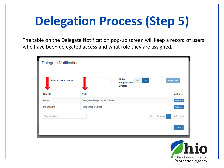# **Delegation Process (Step 5)**

The table on the Delegate Notification pop-up screen will keep a record of users who have been delegated access and what role they are assigned.

| <b>Delegate Notification</b> |                                |                                                      |                   |                                                         |
|------------------------------|--------------------------------|------------------------------------------------------|-------------------|---------------------------------------------------------|
| <b>Enter Account Name:</b>   |                                | <b>Make</b><br>No<br>Yes<br>Responsible<br>Official: |                   | <b>Delegate</b>                                         |
| <b>UserID</b>                | Role                           |                                                      |                   | <b>Actions</b>                                          |
| fjones                       | Delegated Responsible Official |                                                      |                   | Actions -                                               |
| mneedham                     | Responsible Official           |                                                      |                   | Actions $\sim$                                          |
| <b>Filter all columns</b>    |                                |                                                      | Previous<br>First | Next<br>Last                                            |
|                              |                                |                                                      |                   | Done                                                    |
|                              |                                |                                                      |                   |                                                         |
|                              |                                |                                                      |                   | $\sqrt{h}$ i<br>Ohio Environme<br><b>Protection Age</b> |

ncy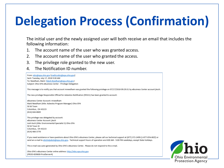# **Delegation Process (Confirmation)**

The initial user and the newly assigned user will both receive an email that includes the following information:

- 1. The account name of the user who was granted access.
- 2. The account name of the user who granted the access.
- 3. The privilege role granted to the new user.
- 4. The Notification ID number.



Ohio EPA's eBusiness Center online address: http://ebiz.epa.ohio.gov (PROD-B39600-ProdServer4)

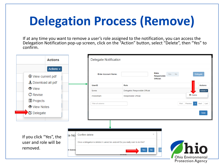# **Delegation Process (Remove)**

If at any time you want to remove a user's role assigned to the notification, you can access the Delegation Notification pop-up screen, click on the "Action" button, select "Delete", then "Yes" to confirm.

| <b>Actions</b>                                                                                                        |                                      | <b>Delegate Notification</b>                                                     |                                                                |                                                |                |                                                                     |
|-----------------------------------------------------------------------------------------------------------------------|--------------------------------------|----------------------------------------------------------------------------------|----------------------------------------------------------------|------------------------------------------------|----------------|---------------------------------------------------------------------|
| Actions $\sim$<br>⊕ View current pdf                                                                                  |                                      | <b>Enter Account Name:</b>                                                       |                                                                | <b>Make</b><br>Yes<br>Responsible<br>Official: | No.            | <b>Delegate</b>                                                     |
| 上 Download all pdf<br><b>●</b> View<br><b>C</b> Revise<br><b>圖 Projects</b><br><b>●</b> View Notes<br><b>Delegate</b> |                                      | <b>UserID</b><br>fjones<br>mneedham<br>Filter all columns                        | Role<br>Delegated Responsible Official<br>Responsible Official |                                                | First Previous | <b>Actions</b><br>Actions -<br><b>★</b> Delete<br>Next Last<br>Done |
| If you click "Yes", the<br>user and role will be<br>removed.                                                          | Confirm delete<br>te Not<br>er Accou | Once a delegation is deleted it cannot be undone! Do you really want to do this? | <b>No</b><br>Yes                                               | ×<br>$\mathbf{D}$                              | Thio           | Ohio Environmental<br><b>Protection Agency</b>                      |